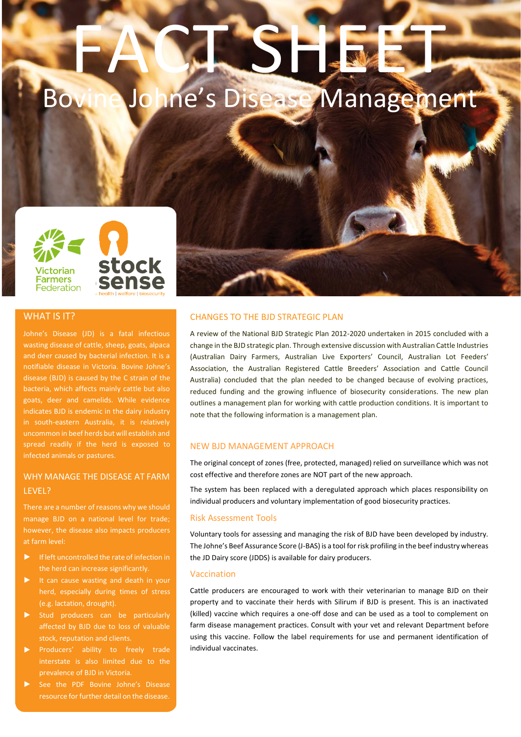# FACTSHEET, Johne's Disease Management



# WHAT IS IT?

Johne's Disease (JD) is a fatal infectious wasting disease of cattle, sheep, goats, alpaca and deer caused by bacterial infection. It is a notifiable disease in Victoria. Bovine Johne's disease (BJD) is caused by the C strain of the bacteria, which affects mainly cattle but also goats, deer and camelids. While evidence indicates BJD is endemic in the dairy industry uncommon in beef herds but will establish and spread readily if the herd is exposed to infected animals or pastures.

# WHY MANAGE THE DISEASE AT FARM LEVEL?

manage BJD on a national level for trade; however, the disease also impacts producers at farm level:

- If left uncontrolled the rate of infection in the herd can increase significantly.
- ► It can cause wasting and death in your herd, especially during times of stress (e.g. lactation, drought).
- affected by BJD due to loss of valuable stock, reputation and clients.
- ► Producers' ability to freely trade interstate is also limited due to the prevalence of BJD in Victoria.
- resource for further detail on the disease.

# CHANGES TO THE BJD STRATEGIC PLAN

A review of the National BJD Strategic Plan 2012-2020 undertaken in 2015 concluded with a change in the BJD strategic plan. Through extensive discussion with Australian Cattle Industries (Australian Dairy Farmers, Australian Live Exporters' Council, Australian Lot Feeders' Association, the Australian Registered Cattle Breeders' Association and Cattle Council Australia) concluded that the plan needed to be changed because of evolving practices, reduced funding and the growing influence of biosecurity considerations. The new plan outlines a management plan for working with cattle production conditions. It is important to note that the following information is a management plan.

# NEW BJD MANAGEMENT APPROACH

The original concept of zones (free, protected, managed) relied on surveillance which was not cost effective and therefore zones are NOT part of the new approach.

The system has been replaced with a deregulated approach which places responsibility on individual producers and voluntary implementation of good biosecurity practices.

# Risk Assessment Tools

Voluntary tools for assessing and managing the risk of BJD have been developed by industry. The Johne's Beef Assurance Score (J-BAS) is a tool for risk profiling in the beef industry whereas the JD Dairy score (JDDS) is available for dairy producers.

#### Vaccination

Cattle producers are encouraged to work with their veterinarian to manage BJD on their property and to vaccinate their herds with Silirum if BJD is present. This is an inactivated (killed) vaccine which requires a one-off dose and can be used as a tool to complement on farm disease management practices. Consult with your vet and relevant Department before using this vaccine. Follow the label requirements for use and permanent identification of individual vaccinates.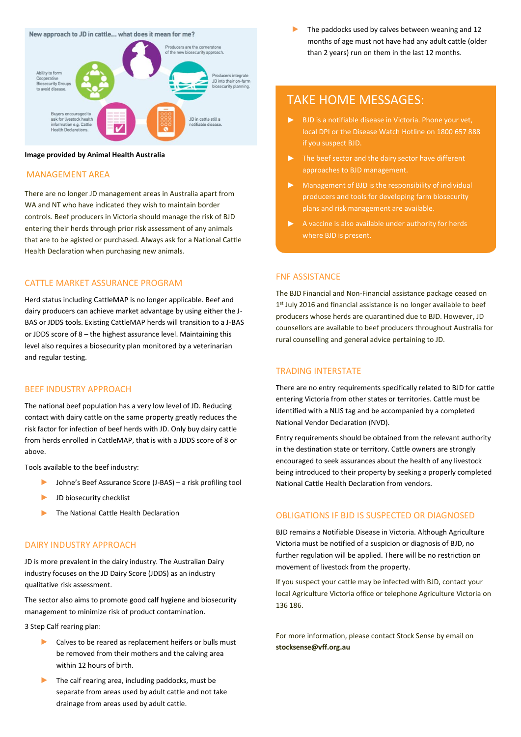#### New approach to JD in cattle... what does it mean for me?



#### **Image provided by Animal Health Australia**

#### MANAGEMENT AREA

There are no longer JD management areas in Australia apart from WA and NT who have indicated they wish to maintain border controls. Beef producers in Victoria should manage the risk of BJD entering their herds through prior risk assessment of any animals that are to be agisted or purchased. Always ask for a National Cattle Health Declaration when purchasing new animals.

# CATTLE MARKET ASSURANCE PROGRAM

Herd status including CattleMAP is no longer applicable. Beef and dairy producers can achieve market advantage by using either the J-BAS or JDDS tools. Existing CattleMAP herds will transition to a J-BAS or JDDS score of 8 – the highest assurance level. Maintaining this level also requires a biosecurity plan monitored by a veterinarian and regular testing.

#### BEEF INDUSTRY APPROACH

The national beef population has a very low level of JD. Reducing contact with dairy cattle on the same property greatly reduces the risk factor for infection of beef herds with JD. Only buy dairy cattle from herds enrolled in CattleMAP, that is with a JDDS score of 8 or above.

Tools available to the beef industry:

- ► Johne's Beef Assurance Score (J-BAS) a risk profiling tool
- ► JD biosecurity checklist
- The National Cattle Health Declaration

#### DAIRY INDUSTRY APPROACH

JD is more prevalent in the dairy industry. The Australian Dairy industry focuses on the JD Dairy Score (JDDS) as an industry qualitative risk assessment.

The sector also aims to promote good calf hygiene and biosecurity management to minimize risk of product contamination.

3 Step Calf rearing plan:

- ► Calves to be reared as replacement heifers or bulls must be removed from their mothers and the calving area within 12 hours of birth.
- The calf rearing area, including paddocks, must be separate from areas used by adult cattle and not take drainage from areas used by adult cattle.

The paddocks used by calves between weaning and 12 months of age must not have had any adult cattle (older than 2 years) run on them in the last 12 months.

# TAKE HOME MESSAGES:

- $\mathbf{b}$  . if you suspect BJD.
- $\blacktriangleright$ The beef sector and the dairy sector have different approaches to BJD management.
- Management of BJD is the responsibility of individual  $\blacktriangleright$  . producers and tools for developing farm biosecurity plans and risk management are available.
- $\blacktriangleright$ A vaccine is also available under authority for herds where BJD is present.

### FNF ASSISTANCE

The BJD Financial and Non-Financial assistance package ceased on 1<sup>st</sup> July 2016 and financial assistance is no longer available to beef producers whose herds are quarantined due to BJD. However, JD counsellors are available to beef producers throughout Australia for rural counselling and general advice pertaining to JD.

# TRADING INTERSTATE

There are no entry requirements specifically related to BJD for cattle entering Victoria from other states or territories. Cattle must be identified with a NLIS tag and be accompanied by a completed National Vendor Declaration (NVD).

Entry requirements should be obtained from the relevant authority in the destination state or territory. Cattle owners are strongly encouraged to seek assurances about the health of any livestock being introduced to their property by seeking a properly completed National Cattle Health Declaration from vendors.

# OBLIGATIONS IF BJD IS SUSPECTED OR DIAGNOSED

BJD remains a Notifiable Disease in Victoria. Although Agriculture Victoria must be notified of a suspicion or diagnosis of BJD, no further regulation will be applied. There will be no restriction on movement of livestock from the property.

If you suspect your cattle may be infected with BJD, contact your local Agriculture Victoria office or telephone Agriculture Victoria on 136 186.

For more information, please contact Stock Sense by email on **stocksense@vff.org.au**